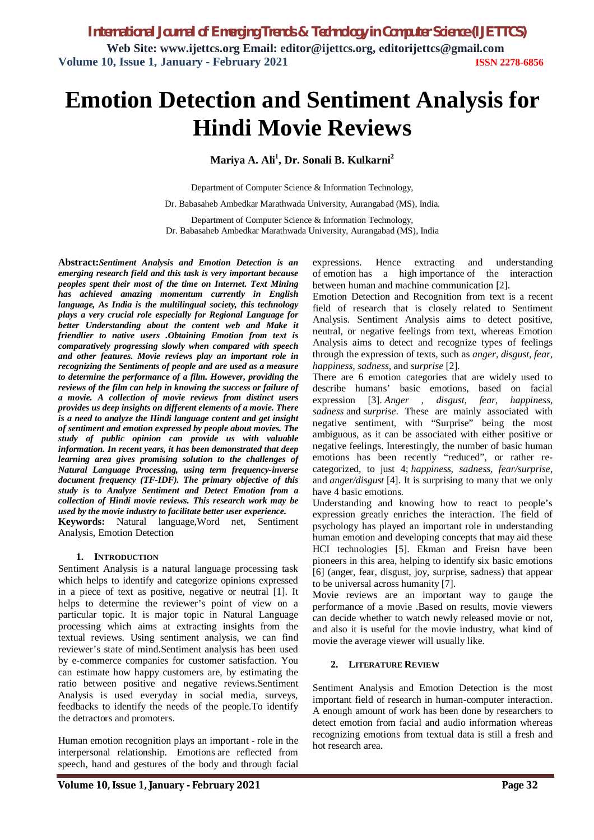# **Emotion Detection and Sentiment Analysis for Hindi Movie Reviews**

**Mariya A. Ali<sup>1</sup> , Dr. Sonali B. Kulkarni<sup>2</sup>**

Department of Computer Science & Information Technology,

Dr. Babasaheb Ambedkar Marathwada University, Aurangabad (MS), India.

Department of Computer Science & Information Technology, Dr. Babasaheb Ambedkar Marathwada University, Aurangabad (MS), India

**Abstract:***Sentiment Analysis and Emotion Detection is an emerging research field and this task is very important because peoples spent their most of the time on Internet. Text Mining has achieved amazing momentum currently in English language, As India is the multilingual society, this technology plays a very crucial role especially for Regional Language for better Understanding about the content web and Make it friendlier to native users .Obtaining Emotion from text is comparatively progressing slowly when compared with speech and other features. Movie reviews play an important role in recognizing the Sentiments of people and are used as a measure to determine the performance of a film. However, providing the reviews of the film can help in knowing the success or failure of a movie. A collection of movie reviews from distinct users provides us deep insights on different elements of a movie. There is a need to analyze the Hindi language content and get insight of sentiment and emotion expressed by people about movies. The study of public opinion can provide us with valuable information. In recent years, it has been demonstrated that deep learning area gives promising solution to the challenges of Natural Language Processing, using term frequency-inverse document frequency (TF-IDF). The primary objective of this study is to Analyze Sentiment and Detect Emotion from a collection of Hindi movie reviews. This research work may be used by the movie industry to facilitate better user experience.*

**Keywords:** Natural language,Word net, Sentiment Analysis, Emotion Detection

#### **1. INTRODUCTION**

Sentiment Analysis is a natural language processing task which helps to identify and categorize opinions expressed in a piece of text as positive, negative or neutral [1]. It helps to determine the reviewer's point of view on a particular topic. It is major topic in Natural Language processing which aims at extracting insights from the textual reviews. Using sentiment analysis, we can find reviewer's state of mind.Sentiment analysis has been used by e-commerce companies for customer satisfaction. You can estimate how happy customers are, by estimating the ratio between positive and negative reviews.Sentiment Analysis is used everyday in social media, surveys, feedbacks to identify the needs of the people.To identify the detractors and promoters.

Human emotion recognition plays an important - role in the interpersonal relationship. Emotions are reflected from speech, hand and gestures of the body and through facial

expressions. Hence extracting and understanding of emotion has a high importance of the interaction between human and machine communication [2].

Emotion Detection and Recognition from text is a recent field of research that is closely related to Sentiment Analysis. Sentiment Analysis aims to detect positive, neutral, or negative feelings from text, whereas Emotion Analysis aims to detect and recognize types of feelings through the expression of texts, such as *anger, disgust, fear, happiness, sadness,* and *surprise* [2].

There are 6 emotion categories that are widely used to describe humans' basic emotions, based on facial expression [3]. *Anger , disgust, fear, happiness, sadness* and *surprise*. These are mainly associated with negative sentiment, with "Surprise" being the most ambiguous, as it can be associated with either positive or negative feelings. Interestingly, the number of basic human emotions has been recently "reduced", or rather recategorized, to just 4; *happiness, sadness, fear/surprise*, and *anger/disgust* [4]. It is surprising to many that we only have 4 basic emotions.

Understanding and knowing how to react to people's expression greatly enriches the interaction. The field of psychology has played an important role in understanding human emotion and developing concepts that may aid these HCI technologies [5]. Ekman and Freisn have been pioneers in this area, helping to identify six basic emotions [6] (anger, fear, disgust, joy, surprise, sadness) that appear to be universal across humanity [7].

Movie reviews are an important way to gauge the performance of a movie .Based on results, movie viewers can decide whether to watch newly released movie or not, and also it is useful for the movie industry, what kind of movie the average viewer will usually like.

#### **2. LITERATURE REVIEW**

Sentiment Analysis and Emotion Detection is the most important field of research in human-computer interaction. A enough amount of work has been done by researchers to detect emotion from facial and audio information whereas recognizing emotions from textual data is still a fresh and hot research area.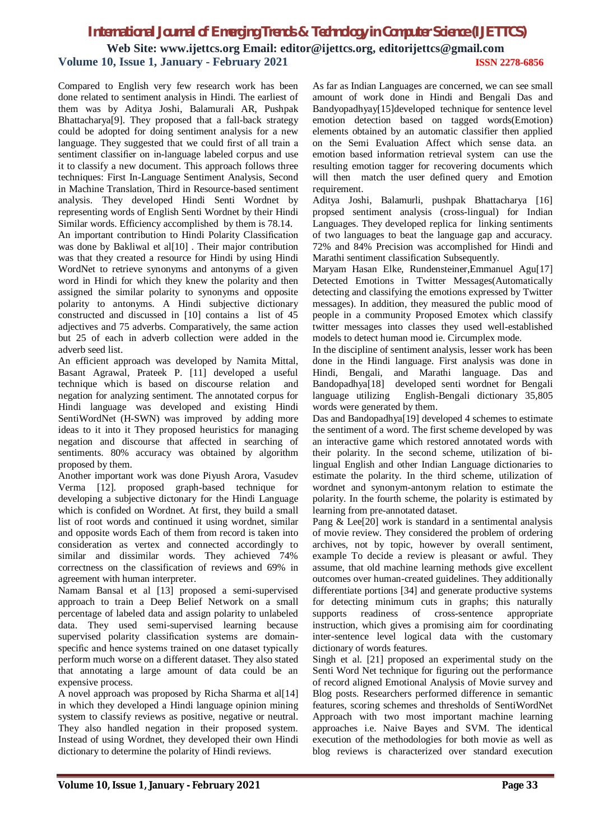## *International Journal of Emerging Trends & Technology in Computer Science (IJETTCS)* **Web Site: www.ijettcs.org Email: editor@ijettcs.org, editorijettcs@gmail.com Volume 10, Issue 1, January - February 2021 ISSN 2278-6856**

Compared to English very few research work has been done related to sentiment analysis in Hindi. The earliest of them was by Aditya Joshi, Balamurali AR, Pushpak Bhattacharya[9]. They proposed that a fall-back strategy could be adopted for doing sentiment analysis for a new language. They suggested that we could first of all train a sentiment classifier on in-language labeled corpus and use it to classify a new document. This approach follows three techniques: First In-Language Sentiment Analysis, Second in Machine Translation, Third in Resource-based sentiment analysis. They developed Hindi Senti Wordnet by representing words of English Senti Wordnet by their Hindi Similar words. Efficiency accomplished by them is 78.14. An important contribution to Hindi Polarity Classification was done by Bakliwal et al<sup>[10]</sup>. Their major contribution was that they created a resource for Hindi by using Hindi WordNet to retrieve synonyms and antonyms of a given word in Hindi for which they knew the polarity and then assigned the similar polarity to synonyms and opposite polarity to antonyms. A Hindi subjective dictionary constructed and discussed in [10] contains a list of 45 adjectives and 75 adverbs. Comparatively, the same action

adverb seed list. An efficient approach was developed by Namita Mittal, Basant Agrawal, Prateek P. [11] developed a useful technique which is based on discourse relation and negation for analyzing sentiment. The annotated corpus for Hindi language was developed and existing Hindi SentiWordNet (H-SWN) was improved by adding more ideas to it into it They proposed heuristics for managing negation and discourse that affected in searching of sentiments. 80% accuracy was obtained by algorithm proposed by them.

but 25 of each in adverb collection were added in the

Another important work was done Piyush Arora, Vasudev Verma [12]. proposed graph-based technique for developing a subjective dictonary for the Hindi Language which is confided on Wordnet. At first, they build a small list of root words and continued it using wordnet, similar and opposite words Each of them from record is taken into consideration as vertex and connected accordingly to similar and dissimilar words. They achieved 74% correctness on the classification of reviews and 69% in agreement with human interpreter.

Namam Bansal et al [13] proposed a semi-supervised approach to train a Deep Belief Network on a small percentage of labeled data and assign polarity to unlabeled data. They used semi-supervised learning because supervised polarity classification systems are domainspecific and hence systems trained on one dataset typically perform much worse on a different dataset. They also stated that annotating a large amount of data could be an expensive process.

A novel approach was proposed by Richa Sharma et al[14] in which they developed a Hindi language opinion mining system to classify reviews as positive, negative or neutral. They also handled negation in their proposed system. Instead of using Wordnet, they developed their own Hindi dictionary to determine the polarity of Hindi reviews.

As far as Indian Languages are concerned, we can see small amount of work done in Hindi and Bengali Das and Bandyopadhyay[15]developed technique for sentence level emotion detection based on tagged words(Emotion) elements obtained by an automatic classifier then applied on the Semi Evaluation Affect which sense data. an emotion based information retrieval system can use the resulting emotion tagger for recovering documents which will then match the user defined query and Emotion requirement.

Aditya Joshi, Balamurli, pushpak Bhattacharya [16] propsed sentiment analysis (cross-lingual) for Indian Languages. They developed replica for linking sentiments of two languages to beat the language gap and accuracy. 72% and 84% Precision was accomplished for Hindi and Marathi sentiment classification Subsequently.

Maryam Hasan Elke, Rundensteiner, Emmanuel Agu<sup>[17]</sup> Detected Emotions in Twitter Messages(Automatically detecting and classifying the emotions expressed by Twitter messages). In addition, they measured the public mood of people in a community Proposed Emotex which classify twitter messages into classes they used well-established models to detect human mood ie. Circumplex mode.

In the discipline of sentiment analysis, lesser work has been done in the Hindi language. First analysis was done in Hindi, Bengali, and Marathi language. Das and Bandopadhya[18] developed senti wordnet for Bengali language utilizing English-Bengali dictionary 35,805 words were generated by them.

Das and Bandopadhya[19] developed 4 schemes to estimate the sentiment of a word. The first scheme developed by was an interactive game which restored annotated words with their polarity. In the second scheme, utilization of bilingual English and other Indian Language dictionaries to estimate the polarity. In the third scheme, utilization of wordnet and synonym-antonym relation to estimate the polarity. In the fourth scheme, the polarity is estimated by learning from pre-annotated dataset.

Pang & Lee[20] work is standard in a sentimental analysis of movie review. They considered the problem of ordering archives, not by topic, however by overall sentiment, example To decide a review is pleasant or awful. They assume, that old machine learning methods give excellent outcomes over human-created guidelines. They additionally differentiate portions [34] and generate productive systems for detecting minimum cuts in graphs; this naturally supports readiness of cross-sentence appropriate instruction, which gives a promising aim for coordinating inter-sentence level logical data with the customary dictionary of words features.

Singh et al. [21] proposed an experimental study on the Senti Word Net technique for figuring out the performance of record aligned Emotional Analysis of Movie survey and Blog posts. Researchers performed difference in semantic features, scoring schemes and thresholds of SentiWordNet Approach with two most important machine learning approaches i.e. Naive Bayes and SVM. The identical execution of the methodologies for both movie as well as blog reviews is characterized over standard execution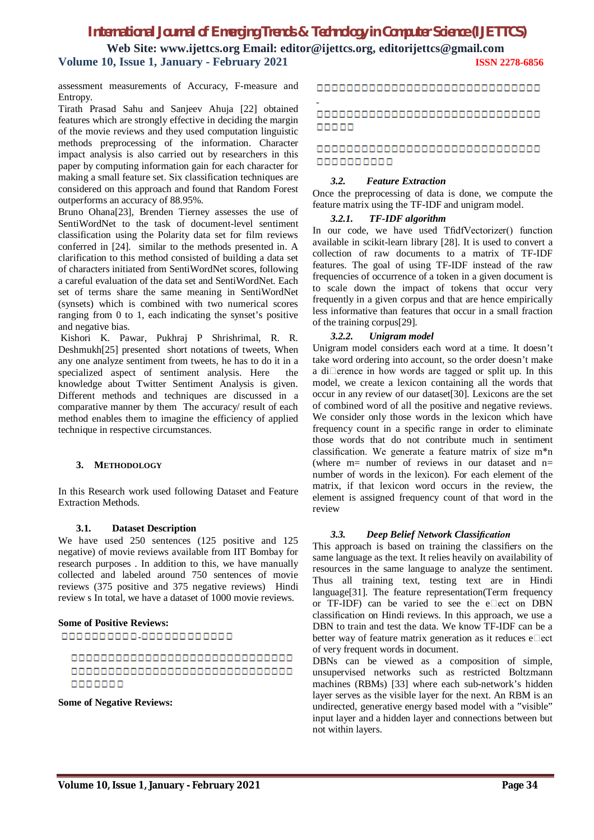## *International Journal of Emerging Trends & Technology in Computer Science (IJETTCS)* **Web Site: www.ijettcs.org Email: editor@ijettcs.org, editorijettcs@gmail.com**

#### **Volume 10, Issue 1, January - February 2021 ISSN 2278-6856**

assessment measurements of Accuracy, F-measure and Entropy.

Tirath Prasad Sahu and Sanjeev Ahuja [22] obtained features which are strongly effective in deciding the margin of the movie reviews and they used computation linguistic methods preprocessing of the information. Character impact analysis is also carried out by researchers in this paper by computing information gain for each character for making a small feature set. Six classification techniques are considered on this approach and found that Random Forest outperforms an accuracy of 88.95%.

Bruno Ohana[23], Brenden Tierney assesses the use of SentiWordNet to the task of document-level sentiment classification using the Polarity data set for film reviews conferred in [24]. similar to the methods presented in. A clarification to this method consisted of building a data set of characters initiated from SentiWordNet scores, following a careful evaluation of the data set and SentiWordNet. Each set of terms share the same meaning in SentiWordNet (synsets) which is combined with two numerical scores ranging from 0 to 1, each indicating the synset's positive and negative bias.

Kishori K. Pawar, Pukhraj P Shrishrimal, R. R. Deshmukh[25] presented short notations of tweets, When any one analyze sentiment from tweets, he has to do it in a specialized aspect of sentiment analysis. Here the knowledge about Twitter Sentiment Analysis is given. Different methods and techniques are discussed in a comparative manner by them The accuracy/ result of each method enables them to imagine the efficiency of applied technique in respective circumstances.

#### **3. METHODOLOGY**

In this Research work used following Dataset and Feature Extraction Methods.

#### **3.1. Dataset Description**

We have used 250 sentences (125 positive and 125 negative) of movie reviews available from IIT Bombay for research purposes . In addition to this, we have manually collected and labeled around 750 sentences of movie reviews (375 positive and 375 negative reviews) Hindi review s In total, we have a dataset of 1000 movie reviews.

#### **Some of Positive Reviews:**

0000000000-000000000000

#### 000000000000000000000000000000 0000000000000000000000000000000 0000000

#### **Some of Negative Reviews:**

0000000000000000000000000000000

#### 000000000000000000000000000000000 00000

#### 0000000000000000000000000000000 0000000000

#### *3.2. Feature Extraction*

Once the preprocessing of data is done, we compute the feature matrix using the TF-IDF and unigram model.

#### *3.2.1. TF-IDF algorithm*

In our code, we have used TfidfVectorizer() function available in scikit-learn library [28]. It is used to convert a collection of raw documents to a matrix of TF-IDF features. The goal of using TF-IDF instead of the raw frequencies of occurrence of a token in a given document is to scale down the impact of tokens that occur very frequently in a given corpus and that are hence empirically less informative than features that occur in a small fraction of the training corpus[29].

#### *3.2.2. Unigram model*

Unigram model considers each word at a time. It doesn't take word ordering into account, so the order doesn't make a di $\square$ erence in how words are tagged or split up. In this model, we create a lexicon containing all the words that occur in any review of our dataset[30]. Lexicons are the set of combined word of all the positive and negative reviews. We consider only those words in the lexicon which have frequency count in a specific range in order to eliminate those words that do not contribute much in sentiment classification. We generate a feature matrix of size m\*n (where  $m=$  number of reviews in our dataset and  $n=$ number of words in the lexicon). For each element of the matrix, if that lexicon word occurs in the review, the element is assigned frequency count of that word in the review

#### *3.3. Deep Belief Network Classification*

This approach is based on training the classifiers on the same language as the text. It relies heavily on availability of resources in the same language to analyze the sentiment. Thus all training text, testing text are in Hindi language[31]. The feature representation(Term frequency or TF-IDF) can be varied to see the e $\square$ ect on DBN classification on Hindi reviews. In this approach, we use a DBN to train and test the data. We know TF-IDF can be a better way of feature matrix generation as it reduces  $e$  $\Box$  ect of very frequent words in document.

DBNs can be viewed as a composition of simple, unsupervised networks such as restricted Boltzmann machines (RBMs) [33] where each sub-network's hidden layer serves as the visible layer for the next. An RBM is an undirected, generative energy based model with a "visible" input layer and a hidden layer and connections between but not within layers.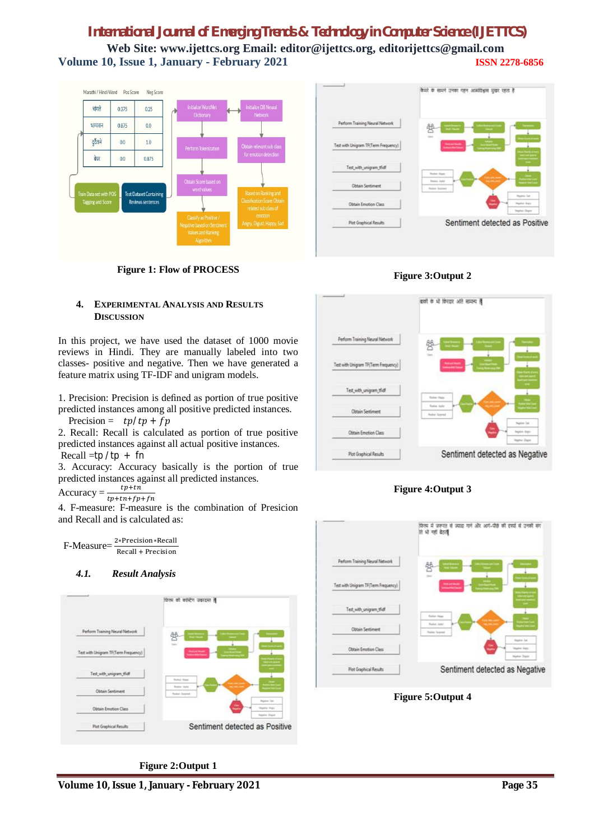# *International Journal of Emerging Trends & Technology in Computer Science (IJETTCS)* **Web Site: www.ijettcs.org Email: editor@ijettcs.org, editorijettcs@gmail.com Volume 10, Issue 1, January - February 2021 ISSN 2278-6856**







#### **4. EXPERIMENTAL ANALYSIS AND RESULTS DISCUSSION**

In this project, we have used the dataset of 1000 movie reviews in Hindi. They are manually labeled into two classes- positive and negative. Then we have generated a feature matrix using TF-IDF and unigram models.

1. Precision: Precision is defined as portion of true positive predicted instances among all positive predicted instances.

Precision =  $tp/tp + fp$ 

2. Recall: Recall is calculated as portion of true positive predicted instances against all actual positive instances. Recall  $=$ tp /tp + fn

3. Accuracy: Accuracy basically is the portion of true predicted instances against all predicted instances.

Accuracy =  $\frac{tp+tn}{tp+tn+fp+fn}$ 

4. F-measure: F-measure is the combination of Presicion and Recall and is calculated as:

F-Measure= <sup>2∗Precision∗Recall</sup> Recall + Precision

#### *4.1. Result Analysis*



**Figure 2:Output 1**







**Figure 5:Output 4**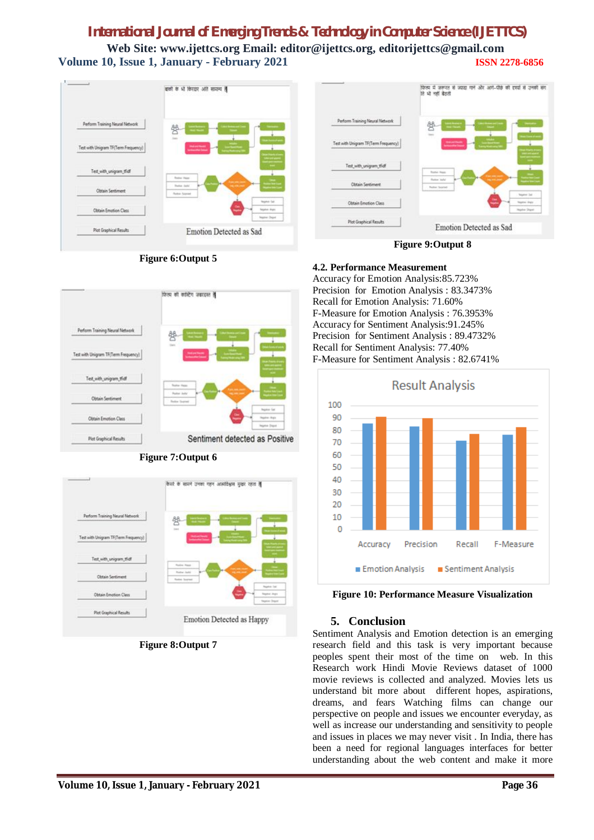# *International Journal of Emerging Trends & Technology in Computer Science (IJETTCS)* **Web Site: www.ijettcs.org Email: editor@ijettcs.org, editorijettcs@gmail.com Volume 10, Issue 1, January - February 2021 ISSN 2278-6856**





**Figure 6:Output 5**







**Figure 8:Output 7**

**Figure 9:Output 8**

#### **4.2. Performance Measurement**

Accuracy for Emotion Analysis:85.723% Precision for Emotion Analysis : 83.3473% Recall for Emotion Analysis: 71.60% F-Measure for Emotion Analysis : 76.3953% Accuracy for Sentiment Analysis:91.245% Precision for Sentiment Analysis : 89.4732% Recall for Sentiment Analysis: 77.40% F-Measure for Sentiment Analysis : 82.6741%



**Figure 10: Performance Measure Visualization**

# **5. Conclusion**

Sentiment Analysis and Emotion detection is an emerging research field and this task is very important because peoples spent their most of the time on web. In this Research work Hindi Movie Reviews dataset of 1000 movie reviews is collected and analyzed. Movies lets us understand bit more about different hopes, aspirations, dreams, and fears Watching films can change our perspective on people and issues we encounter everyday, as well as increase our understanding and sensitivity to people and issues in places we may never visit . In India, there has been a need for regional languages interfaces for better understanding about the web content and make it more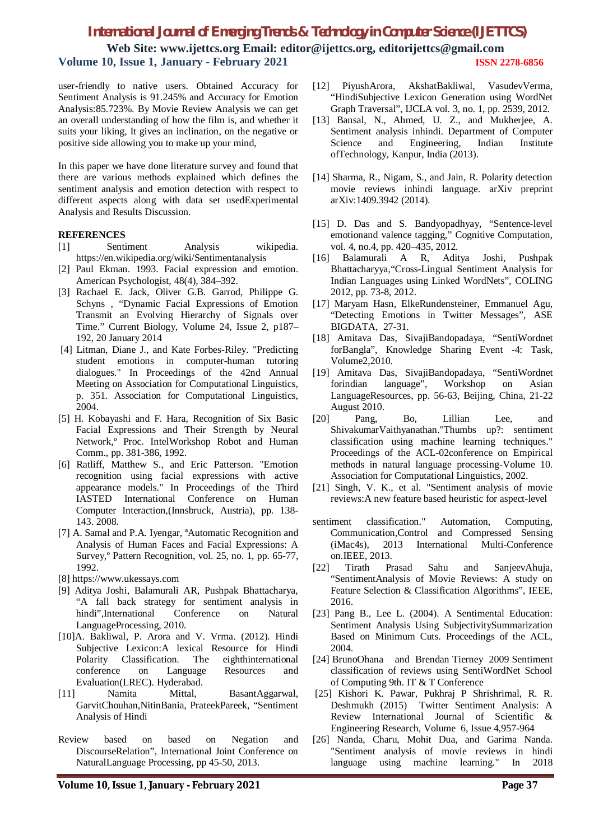### *International Journal of Emerging Trends & Technology in Computer Science (IJETTCS)*

**Web Site: www.ijettcs.org Email: editor@ijettcs.org, editorijettcs@gmail.com Volume 10, Issue 1, January - February 2021 ISSN 2278-6856**

user-friendly to native users. Obtained Accuracy for Sentiment Analysis is 91.245% and Accuracy for Emotion Analysis:85.723%. By Movie Review Analysis we can get an overall understanding of how the film is, and whether it suits your liking, It gives an inclination, on the negative or positive side allowing you to make up your mind,

In this paper we have done literature survey and found that there are various methods explained which defines the sentiment analysis and emotion detection with respect to different aspects along with data set usedExperimental Analysis and Results Discussion.

#### **REFERENCES**

- [1] Sentiment Analysis wikipedia. https://en.wikipedia.org/wiki/Sentimentanalysis
- [2] Paul Ekman. 1993. Facial expression and emotion. American Psychologist, 48(4), 384–392.
- [3] Rachael E. Jack, Oliver G.B. Garrod, Philippe G. Schyns , "Dynamic Facial Expressions of Emotion Transmit an Evolving Hierarchy of Signals over Time." Current Biology, Volume 24, Issue 2, p187– 192, 20 January 2014
- [4] Litman, Diane J., and Kate Forbes-Riley. "Predicting student emotions in computer-human tutoring dialogues." In Proceedings of the 42nd Annual Meeting on Association for Computational Linguistics, p. 351. Association for Computational Linguistics, 2004.
- [5] H. Kobayashi and F. Hara, Recognition of Six Basic Facial Expressions and Their Strength by Neural Network,º Proc. IntelWorkshop Robot and Human Comm., pp. 381-386, 1992.
- [6] Ratliff, Matthew S., and Eric Patterson. "Emotion recognition using facial expressions with active appearance models." In Proceedings of the Third IASTED International Conference on Human Computer Interaction,(Innsbruck, Austria), pp. 138- 143. 2008.
- [7] A. Samal and P.A. Iyengar, ªAutomatic Recognition and Analysis of Human Faces and Facial Expressions: A Survey,º Pattern Recognition, vol. 25, no. 1, pp. 65-77, 1992.
- [8] https://www.ukessays.com
- [9] Aditya Joshi, Balamurali AR, Pushpak Bhattacharya, "A fall back strategy for sentiment analysis in hindi",International Conference on Natural LanguageProcessing, 2010.
- [10]A. Bakliwal, P. Arora and V. Vrma. (2012). Hindi Subjective Lexicon:A lexical Resource for Hindi Polarity Classification. The eighthinternational conference on Language Resources and Evaluation(LREC). Hyderabad.
- [11] Namita Mittal, BasantAggarwal, GarvitChouhan,NitinBania, PrateekPareek, "Sentiment Analysis of Hindi
- Review based on based on Negation and DiscourseRelation", International Joint Conference on NaturalLanguage Processing, pp 45-50, 2013.
- [12] PiyushArora, AkshatBakliwal, VasudevVerma, "HindiSubjective Lexicon Generation using WordNet Graph Traversal", IJCLA vol. 3, no. 1, pp. 2539, 2012.
- [13] Bansal, N., Ahmed, U. Z., and Mukherjee, A. Sentiment analysis inhindi. Department of Computer Science and Engineering, Indian Institute ofTechnology, Kanpur, India (2013).
- [14] Sharma, R., Nigam, S., and Jain, R. Polarity detection movie reviews inhindi language. arXiv preprint arXiv:1409.3942 (2014).
- [15] D. Das and S. Bandyopadhyay, "Sentence-level emotionand valence tagging," Cognitive Computation, vol. 4, no.4, pp. 420–435, 2012.
- [16] Balamurali A R, Aditya Joshi, Pushpak Bhattacharyya,"Cross-Lingual Sentiment Analysis for Indian Languages using Linked WordNets", COLING 2012, pp. 73-8, 2012.
- [17] Maryam Hasn, ElkeRundensteiner, Emmanuel Agu, "Detecting Emotions in Twitter Messages", ASE BIGDATA, 27-31.
- [18] Amitava Das, SivajiBandopadaya, "SentiWordnet forBangla", Knowledge Sharing Event -4: Task, Volume2,2010.
- [19] Amitava Das, SivajiBandopadaya, "SentiWordnet forindian language", Workshop on Asian LanguageResources, pp. 56-63, Beijing, China, 21-22 August 2010.
- [20] Pang, Bo, Lillian Lee, and ShivakumarVaithyanathan."Thumbs up?: sentiment classification using machine learning techniques." Proceedings of the ACL-02conference on Empirical methods in natural language processing-Volume 10. Association for Computational Linguistics, 2002.
- [21] Singh, V. K., et al. "Sentiment analysis of movie reviews:A new feature based heuristic for aspect-level
- sentiment classification." Automation, Computing, Communication,Control and Compressed Sensing<br>
(iMac4s). 2013 International Multi-Conference  $(iMac4s)$ , 2013 International on.IEEE, 2013.
- [22] Tirath Prasad Sahu and SanjeevAhuja, "SentimentAnalysis of Movie Reviews: A study on Feature Selection & Classification Algorithms", IEEE, 2016.
- [23] Pang B., Lee L. (2004). A Sentimental Education: Sentiment Analysis Using SubjectivitySummarization Based on Minimum Cuts. Proceedings of the ACL, 2004.
- [24] BrunoOhana and Brendan Tierney 2009 Sentiment classification of reviews using SentiWordNet School of Computing 9th. IT & T Conference
- [25] Kishori K. Pawar, Pukhraj P Shrishrimal, R. R. Deshmukh (2015) Twitter Sentiment Analysis: A Review International Journal of Scientific & Engineering Research, Volume 6, Issue 4,957-964
- [26] Nanda, Charu, Mohit Dua, and Garima Nanda. "Sentiment analysis of movie reviews in hindi language using machine learning." In 2018